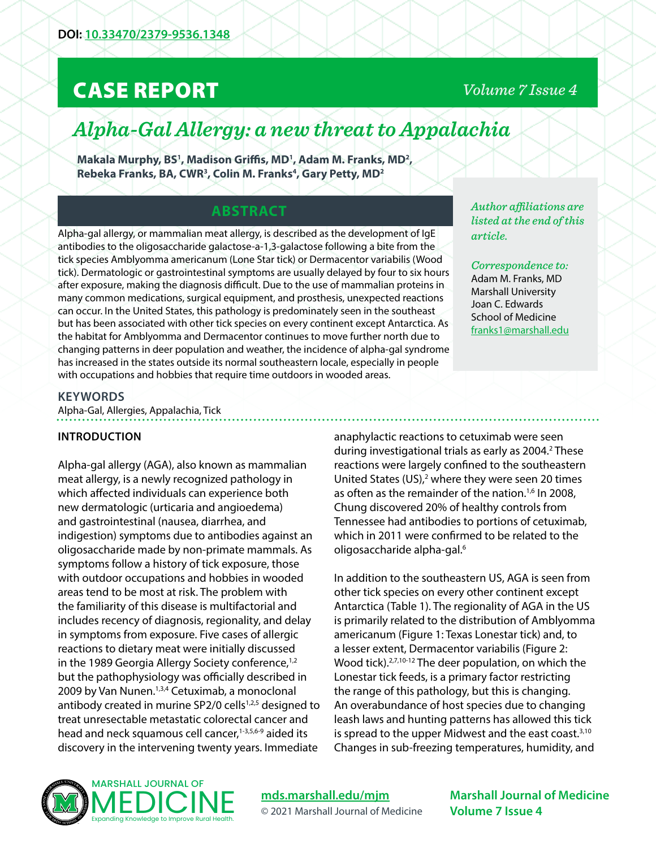# CASE REPORT

# *Volume 7 Issue 4*

# *Alpha-Gal Allergy: a new threat to Appalachia*

Makala Murphy, BS<sup>1</sup>, Madison Griffis, MD<sup>1</sup>, Adam M. Franks, MD<sup>2</sup>, **Rebeka Franks, BA, CWR3 , Colin M. Franks4 , Gary Petty, MD2**

## **ABSTRACT**

Alpha-gal allergy, or mammalian meat allergy, is described as the development of IgE antibodies to the oligosaccharide galactose-a-1,3-galactose following a bite from the tick species Amblyomma americanum (Lone Star tick) or Dermacentor variabilis (Wood tick). Dermatologic or gastrointestinal symptoms are usually delayed by four to six hours after exposure, making the diagnosis difficult. Due to the use of mammalian proteins in many common medications, surgical equipment, and prosthesis, unexpected reactions can occur. In the United States, this pathology is predominately seen in the southeast but has been associated with other tick species on every continent except Antarctica. As the habitat for Amblyomma and Dermacentor continues to move further north due to changing patterns in deer population and weather, the incidence of alpha-gal syndrome has increased in the states outside its normal southeastern locale, especially in people with occupations and hobbies that require time outdoors in wooded areas.

*Author affiliations are listed at the end of this article.* 

*Correspondence to:*  Adam M. Franks, MD Marshall University Joan C. Edwards School of Medicine [franks1@marshall.edu](mailto:franks1%40marshall.edu?subject=)

#### **KEYWORDS**

Alpha-Gal, Allergies, Appalachia, Tick

### **INTRODUCTION**

Alpha-gal allergy (AGA), also known as mammalian meat allergy, is a newly recognized pathology in which affected individuals can experience both new dermatologic (urticaria and angioedema) and gastrointestinal (nausea, diarrhea, and indigestion) symptoms due to antibodies against an oligosaccharide made by non-primate mammals. As symptoms follow a history of tick exposure, those with outdoor occupations and hobbies in wooded areas tend to be most at risk. The problem with the familiarity of this disease is multifactorial and includes recency of diagnosis, regionality, and delay in symptoms from exposure. Five cases of allergic reactions to dietary meat were initially discussed in the 1989 Georgia Allergy Society conference,<sup>1,2</sup> but the pathophysiology was officially described in 2009 by Van Nunen.<sup>1,3,4</sup> Cetuximab, a monoclonal antibody created in murine SP2/0 cells<sup>1,2,5</sup> designed to treat unresectable metastatic colorectal cancer and head and neck squamous cell cancer,<sup>1-3,5,6-9</sup> aided its discovery in the intervening twenty years. Immediate

anaphylactic reactions to cetuximab were seen during investigational trials as early as 2004.<sup>2</sup> These reactions were largely confined to the southeastern United States (US), $<sup>2</sup>$  where they were seen 20 times</sup> as often as the remainder of the nation.<sup>1,6</sup> In 2008, Chung discovered 20% of healthy controls from Tennessee had antibodies to portions of cetuximab, which in 2011 were confirmed to be related to the oligosaccharide alpha-gal.<sup>6</sup>

In addition to the southeastern US, AGA is seen from other tick species on every other continent except Antarctica (Table 1). The regionality of AGA in the US is primarily related to the distribution of Amblyomma americanum (Figure 1: Texas Lonestar tick) and, to a lesser extent, Dermacentor variabilis (Figure 2: Wood tick).<sup>2,7,10-12</sup> The deer population, on which the Lonestar tick feeds, is a primary factor restricting the range of this pathology, but this is changing. An overabundance of host species due to changing leash laws and hunting patterns has allowed this tick is spread to the upper Midwest and the east coast.<sup>3,10</sup> Changes in sub-freezing temperatures, humidity, and



**[mds.marshall.edu/mjm](https://mds.marshall.edu/mjm/)** © 2021 Marshall Journal of Medicine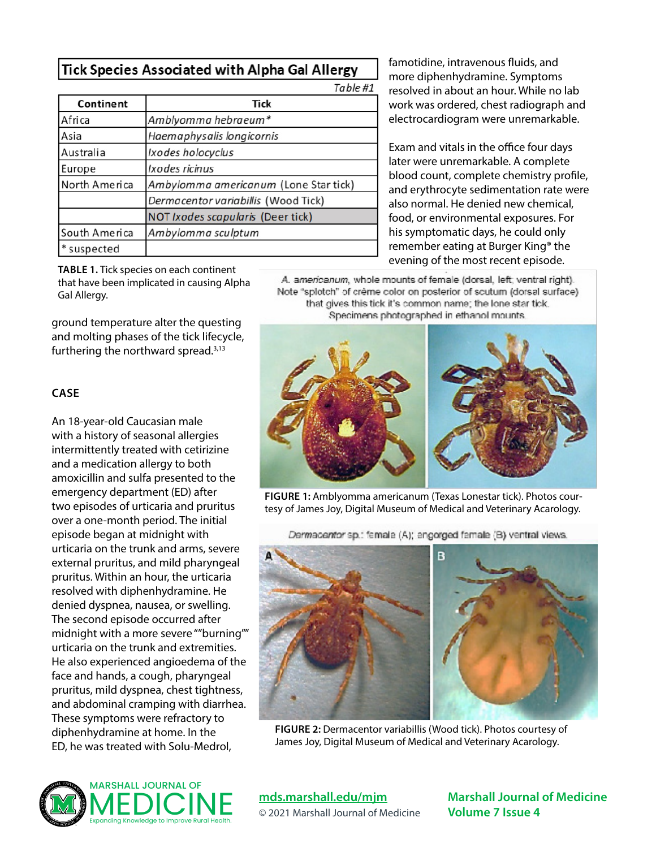# Tick Species Associated with Alpha Gal Allergy

Table #1

| Continent     | Tick                                  |  |
|---------------|---------------------------------------|--|
| Africa        | Amblyomma hebraeum*                   |  |
| Asia          | Haemaphysalis longicornis             |  |
| Australia     | Ixodes holocyclus                     |  |
| Europe        | Ixodes ricinus                        |  |
| North America | Ambylomma americanum (Lone Star tick) |  |
|               | Dermacentor variabillis (Wood Tick)   |  |
|               | NOT Ixodes scapularis (Deer tick)     |  |
| South America | Ambylomma sculptum                    |  |
| * suspected   |                                       |  |

famotidine, intravenous fluids, and more diphenhydramine. Symptoms resolved in about an hour. While no lab work was ordered, chest radiograph and electrocardiogram were unremarkable.

Exam and vitals in the office four days later were unremarkable. A complete blood count, complete chemistry profile, and erythrocyte sedimentation rate were also normal. He denied new chemical, food, or environmental exposures. For his symptomatic days, he could only remember eating at Burger King® the evening of the most recent episode.

A. americanum, whole mounts of female (dorsal, left, ventral right). Note "splotch" of crème color on posterior of scutum (dorsal surface) that gives this tick it's common name; the lone star tick. Specimens photographed in ethanol mounts.



**FIGURE 1:** Amblyomma americanum (Texas Lonestar tick). Photos courtesy of James Joy, Digital Museum of Medical and Veterinary Acarology.

Dermacentor sp.: female (A); engorged female (B) ventral views.



**FIGURE 2:** Dermacentor variabillis (Wood tick). Photos courtesy of James Joy, Digital Museum of Medical and Veterinary Acarology.

**TABLE 1.** Tick species on each continent that have been implicated in causing Alpha Gal Allergy.

ground temperature alter the questing and molting phases of the tick lifecycle, furthering the northward spread.3,13

#### **CASE**

An 18-year-old Caucasian male with a history of seasonal allergies intermittently treated with cetirizine and a medication allergy to both amoxicillin and sulfa presented to the emergency department (ED) after two episodes of urticaria and pruritus over a one-month period. The initial episode began at midnight with urticaria on the trunk and arms, severe external pruritus, and mild pharyngeal pruritus. Within an hour, the urticaria resolved with diphenhydramine. He denied dyspnea, nausea, or swelling. The second episode occurred after midnight with a more severe ""burning"" urticaria on the trunk and extremities. He also experienced angioedema of the face and hands, a cough, pharyngeal pruritus, mild dyspnea, chest tightness, and abdominal cramping with diarrhea. These symptoms were refractory to diphenhydramine at home. In the ED, he was treated with Solu-Medrol,



## **[mds.marshall.edu/mjm](https://mds.marshall.edu/mjm/)**

© 2021 Marshall Journal of Medicine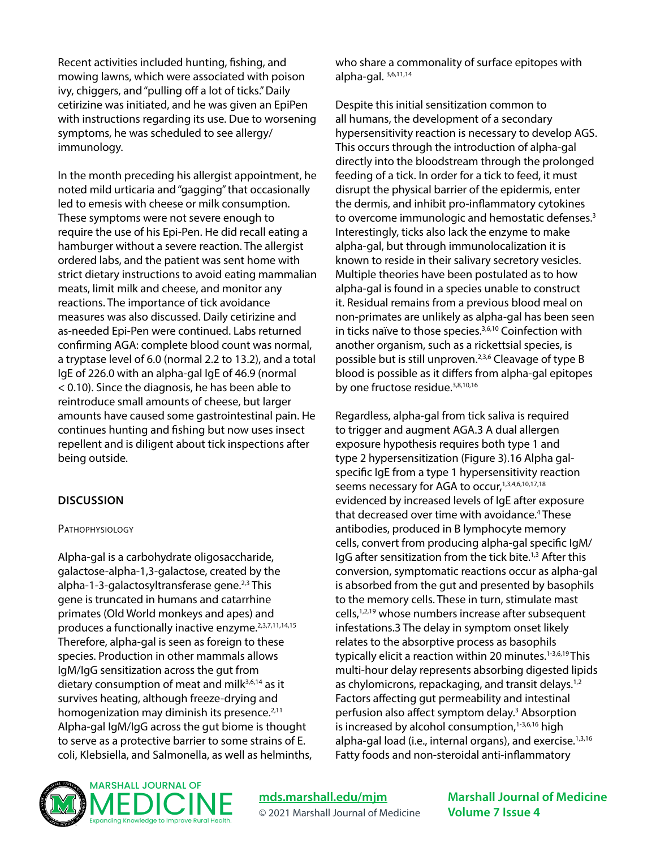Recent activities included hunting, fishing, and mowing lawns, which were associated with poison ivy, chiggers, and "pulling off a lot of ticks." Daily cetirizine was initiated, and he was given an EpiPen with instructions regarding its use. Due to worsening symptoms, he was scheduled to see allergy/ immunology.

In the month preceding his allergist appointment, he noted mild urticaria and "gagging" that occasionally led to emesis with cheese or milk consumption. These symptoms were not severe enough to require the use of his Epi-Pen. He did recall eating a hamburger without a severe reaction. The allergist ordered labs, and the patient was sent home with strict dietary instructions to avoid eating mammalian meats, limit milk and cheese, and monitor any reactions. The importance of tick avoidance measures was also discussed. Daily cetirizine and as-needed Epi-Pen were continued. Labs returned confirming AGA: complete blood count was normal, a tryptase level of 6.0 (normal 2.2 to 13.2), and a total IgE of 226.0 with an alpha-gal IgE of 46.9 (normal < 0.10). Since the diagnosis, he has been able to reintroduce small amounts of cheese, but larger amounts have caused some gastrointestinal pain. He continues hunting and fishing but now uses insect repellent and is diligent about tick inspections after being outside.

## **DISCUSSION**

#### **PATHOPHYSIOLOGY**

Alpha-gal is a carbohydrate oligosaccharide, galactose-alpha-1,3-galactose, created by the alpha-1-3-galactosyltransferase gene.<sup>2,3</sup> This gene is truncated in humans and catarrhine primates (Old World monkeys and apes) and produces a functionally inactive enzyme.<sup>2,3,7,11,14,15</sup> Therefore, alpha-gal is seen as foreign to these species. Production in other mammals allows IgM/IgG sensitization across the gut from dietary consumption of meat and mil $k^{3,6,14}$  as it survives heating, although freeze-drying and homogenization may diminish its presence.<sup>2,11</sup> Alpha-gal IgM/IgG across the gut biome is thought to serve as a protective barrier to some strains of E. coli, Klebsiella, and Salmonella, as well as helminths, who share a commonality of surface epitopes with alpha-gal. 3,6,11,14

Despite this initial sensitization common to all humans, the development of a secondary hypersensitivity reaction is necessary to develop AGS. This occurs through the introduction of alpha-gal directly into the bloodstream through the prolonged feeding of a tick. In order for a tick to feed, it must disrupt the physical barrier of the epidermis, enter the dermis, and inhibit pro-inflammatory cytokines to overcome immunologic and hemostatic defenses.<sup>3</sup> Interestingly, ticks also lack the enzyme to make alpha-gal, but through immunolocalization it is known to reside in their salivary secretory vesicles. Multiple theories have been postulated as to how alpha-gal is found in a species unable to construct it. Residual remains from a previous blood meal on non-primates are unlikely as alpha-gal has been seen in ticks naïve to those species.<sup>3,6,10</sup> Coinfection with another organism, such as a rickettsial species, is possible but is still unproven.2,3,6 Cleavage of type B blood is possible as it differs from alpha-gal epitopes by one fructose residue.<sup>3,8,10,16</sup>

Regardless, alpha-gal from tick saliva is required to trigger and augment AGA.3 A dual allergen exposure hypothesis requires both type 1 and type 2 hypersensitization (Figure 3).16 Alpha galspecific IgE from a type 1 hypersensitivity reaction seems necessary for AGA to occur,<sup>1,3,4,6,10,17,18</sup> evidenced by increased levels of IgE after exposure that decreased over time with avoidance.4 These antibodies, produced in B lymphocyte memory cells, convert from producing alpha-gal specific IgM/ IgG after sensitization from the tick bite.1,3 After this conversion, symptomatic reactions occur as alpha-gal is absorbed from the gut and presented by basophils to the memory cells. These in turn, stimulate mast cells,1,2,19 whose numbers increase after subsequent infestations.3 The delay in symptom onset likely relates to the absorptive process as basophils typically elicit a reaction within 20 minutes.<sup>1-3,6,19</sup>This multi-hour delay represents absorbing digested lipids as chylomicrons, repackaging, and transit delays.<sup>1,2</sup> Factors affecting gut permeability and intestinal perfusion also affect symptom delay.<sup>3</sup> Absorption is increased by alcohol consumption,<sup>1-3,6,16</sup> high alpha-gal load (i.e., internal organs), and exercise.<sup>1,3,16</sup> Fatty foods and non-steroidal anti-inflammatory



**[mds.marshall.edu/mjm](https://mds.marshall.edu/mjm/)** © 2021 Marshall Journal of Medicine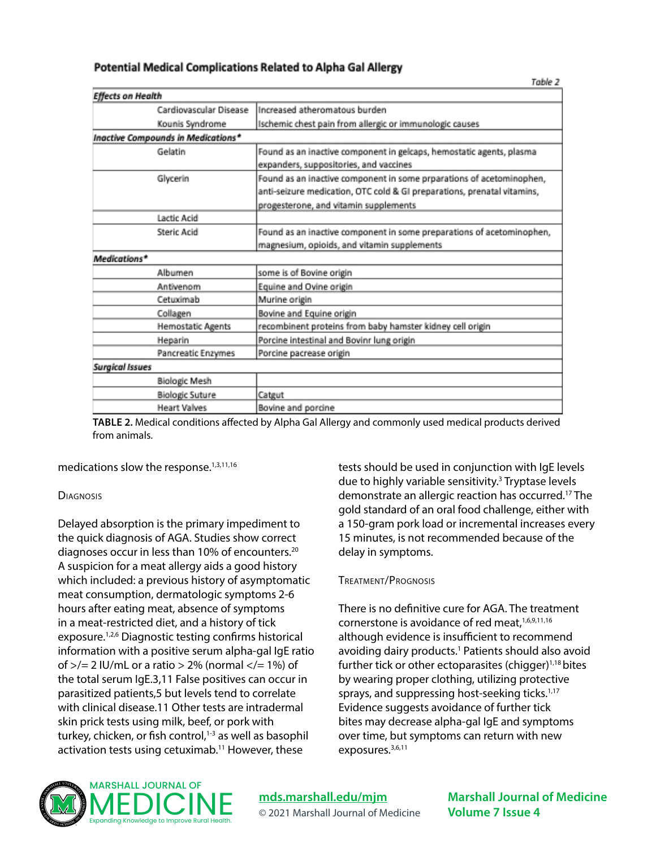|                          |                                    | Table 2                                                                                                                                                                                  |
|--------------------------|------------------------------------|------------------------------------------------------------------------------------------------------------------------------------------------------------------------------------------|
| <b>Effects on Health</b> |                                    |                                                                                                                                                                                          |
|                          | Cardiovascular Disease             | Increased atheromatous burden                                                                                                                                                            |
|                          | Kounis Syndrome                    | Ischemic chest pain from allergic or immunologic causes                                                                                                                                  |
|                          | Inactive Compounds in Medications* |                                                                                                                                                                                          |
|                          | Gelatin                            | Found as an inactive component in gelcaps, hemostatic agents, plasma<br>expanders, suppositories, and vaccines                                                                           |
|                          | Glycerin                           | Found as an inactive component in some prparations of acetominophen,<br>anti-seizure medication, OTC cold & GI preparations, prenatal vitamins,<br>progesterone, and vitamin supplements |
|                          | Lactic Acid                        |                                                                                                                                                                                          |
|                          | Steric Acid                        | Found as an inactive component in some preparations of acetominophen,<br>magnesium, opioids, and vitamin supplements                                                                     |
| Medications*             |                                    |                                                                                                                                                                                          |
|                          | Albumen                            | some is of Bovine origin                                                                                                                                                                 |
|                          | Antivenom                          | Equine and Ovine origin                                                                                                                                                                  |
|                          | Cetuximab                          | Murine origin                                                                                                                                                                            |
|                          | Collagen                           | Bovine and Equine origin                                                                                                                                                                 |
|                          | <b>Hemostatic Agents</b>           | recombinent proteins from baby hamster kidney cell origin                                                                                                                                |
|                          | Heparin                            | Porcine intestinal and Bovinr lung origin                                                                                                                                                |
|                          | Pancreatic Enzymes                 | Porcine pacrease origin                                                                                                                                                                  |
| <b>Surgical Issues</b>   |                                    |                                                                                                                                                                                          |
|                          | <b>Biologic Mesh</b>               |                                                                                                                                                                                          |
|                          | <b>Biologic Suture</b>             | Catgut                                                                                                                                                                                   |
|                          | <b>Heart Valves</b>                | Bovine and porcine                                                                                                                                                                       |

### Potential Medical Complications Related to Alpha Gal Allergy

**TABLE 2.** Medical conditions affected by Alpha Gal Allergy and commonly used medical products derived from animals.

medications slow the response.<sup>1,3,11,16</sup>

#### **DIAGNOSIS**

Delayed absorption is the primary impediment to the quick diagnosis of AGA. Studies show correct diagnoses occur in less than 10% of encounters.<sup>20</sup> A suspicion for a meat allergy aids a good history which included: a previous history of asymptomatic meat consumption, dermatologic symptoms 2-6 hours after eating meat, absence of symptoms in a meat-restricted diet, and a history of tick exposure.1,2,6 Diagnostic testing confirms historical information with a positive serum alpha-gal IgE ratio of  $\ge$ /= 2 IU/mL or a ratio  $>$  2% (normal  $\lt$ /= 1%) of the total serum IgE.3,11 False positives can occur in parasitized patients,5 but levels tend to correlate with clinical disease.11 Other tests are intradermal skin prick tests using milk, beef, or pork with turkey, chicken, or fish control,<sup>1-3</sup> as well as basophil activation tests using cetuximab.<sup>11</sup> However, these

tests should be used in conjunction with IgE levels due to highly variable sensitivity.<sup>3</sup> Tryptase levels demonstrate an allergic reaction has occurred.17 The gold standard of an oral food challenge, either with a 150-gram pork load or incremental increases every 15 minutes, is not recommended because of the delay in symptoms.

#### Treatment/Prognosis

There is no definitive cure for AGA. The treatment cornerstone is avoidance of red meat, 1,6,9,11,16 although evidence is insufficient to recommend avoiding dairy products.<sup>1</sup> Patients should also avoid further tick or other ectoparasites (chigger) $1,18$  bites by wearing proper clothing, utilizing protective sprays, and suppressing host-seeking ticks.<sup>1,17</sup> Evidence suggests avoidance of further tick bites may decrease alpha-gal IgE and symptoms over time, but symptoms can return with new exposures.<sup>3,6,11</sup>



**[mds.marshall.edu/mjm](https://mds.marshall.edu/mjm/)** © 2021 Marshall Journal of Medicine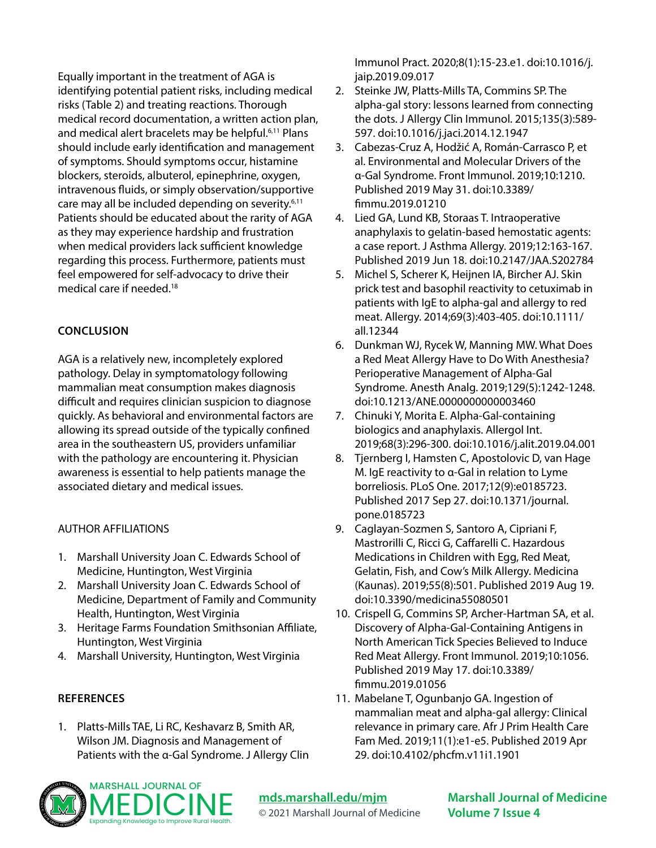Equally important in the treatment of AGA is identifying potential patient risks, including medical risks (Table 2) and treating reactions. Thorough medical record documentation, a written action plan, and medical alert bracelets may be helpful.<sup>6,11</sup> Plans should include early identification and management of symptoms. Should symptoms occur, histamine blockers, steroids, albuterol, epinephrine, oxygen, intravenous fluids, or simply observation/supportive care may all be included depending on severity.6,11 Patients should be educated about the rarity of AGA as they may experience hardship and frustration when medical providers lack sufficient knowledge regarding this process. Furthermore, patients must feel empowered for self-advocacy to drive their medical care if needed.18

## **CONCLUSION**

AGA is a relatively new, incompletely explored pathology. Delay in symptomatology following mammalian meat consumption makes diagnosis difficult and requires clinician suspicion to diagnose quickly. As behavioral and environmental factors are allowing its spread outside of the typically confined area in the southeastern US, providers unfamiliar with the pathology are encountering it. Physician awareness is essential to help patients manage the associated dietary and medical issues.

### AUTHOR AFFILIATIONS

- 1. Marshall University Joan C. Edwards School of Medicine, Huntington, West Virginia
- 2. Marshall University Joan C. Edwards School of Medicine, Department of Family and Community Health, Huntington, West Virginia
- 3. Heritage Farms Foundation Smithsonian Affiliate, Huntington, West Virginia
- 4. Marshall University, Huntington, West Virginia

## **REFERENCES**

1. Platts-Mills TAE, Li RC, Keshavarz B, Smith AR, Wilson JM. Diagnosis and Management of Patients with the α-Gal Syndrome. J Allergy Clin Immunol Pract. 2020;8(1):15-23.e1. doi:10.1016/j. jaip.2019.09.017

- 2. Steinke JW, Platts-Mills TA, Commins SP. The alpha-gal story: lessons learned from connecting the dots. J Allergy Clin Immunol. 2015;135(3):589- 597. doi:10.1016/j.jaci.2014.12.1947
- 3. Cabezas-Cruz A, Hodžić A, Román-Carrasco P, et al. Environmental and Molecular Drivers of the α-Gal Syndrome. Front Immunol. 2019;10:1210. Published 2019 May 31. doi:10.3389/ fimmu.2019.01210
- 4. Lied GA, Lund KB, Storaas T. Intraoperative anaphylaxis to gelatin-based hemostatic agents: a case report. J Asthma Allergy. 2019;12:163-167. Published 2019 Jun 18. doi:10.2147/JAA.S202784
- 5. Michel S, Scherer K, Heijnen IA, Bircher AJ. Skin prick test and basophil reactivity to cetuximab in patients with IgE to alpha-gal and allergy to red meat. Allergy. 2014;69(3):403-405. doi:10.1111/ all.12344
- 6. Dunkman WJ, Rycek W, Manning MW. What Does a Red Meat Allergy Have to Do With Anesthesia? Perioperative Management of Alpha-Gal Syndrome. Anesth Analg. 2019;129(5):1242-1248. doi:10.1213/ANE.0000000000003460
- 7. Chinuki Y, Morita E. Alpha-Gal-containing biologics and anaphylaxis. Allergol Int. 2019;68(3):296-300. doi:10.1016/j.alit.2019.04.001
- 8. Tjernberg I, Hamsten C, Apostolovic D, van Hage M. IgE reactivity to α-Gal in relation to Lyme borreliosis. PLoS One. 2017;12(9):e0185723. Published 2017 Sep 27. doi:10.1371/journal. pone.0185723
- 9. Caglayan-Sozmen S, Santoro A, Cipriani F, Mastrorilli C, Ricci G, Caffarelli C. Hazardous Medications in Children with Egg, Red Meat, Gelatin, Fish, and Cow's Milk Allergy. Medicina (Kaunas). 2019;55(8):501. Published 2019 Aug 19. doi:10.3390/medicina55080501
- 10. Crispell G, Commins SP, Archer-Hartman SA, et al. Discovery of Alpha-Gal-Containing Antigens in North American Tick Species Believed to Induce Red Meat Allergy. Front Immunol. 2019;10:1056. Published 2019 May 17. doi:10.3389/ fimmu.2019.01056
- 11. Mabelane T, Ogunbanjo GA. Ingestion of mammalian meat and alpha-gal allergy: Clinical relevance in primary care. Afr J Prim Health Care Fam Med. 2019;11(1):e1-e5. Published 2019 Apr 29. doi:10.4102/phcfm.v11i1.1901



**[mds.marshall.edu/mjm](https://mds.marshall.edu/mjm/)** © 2021 Marshall Journal of Medicine